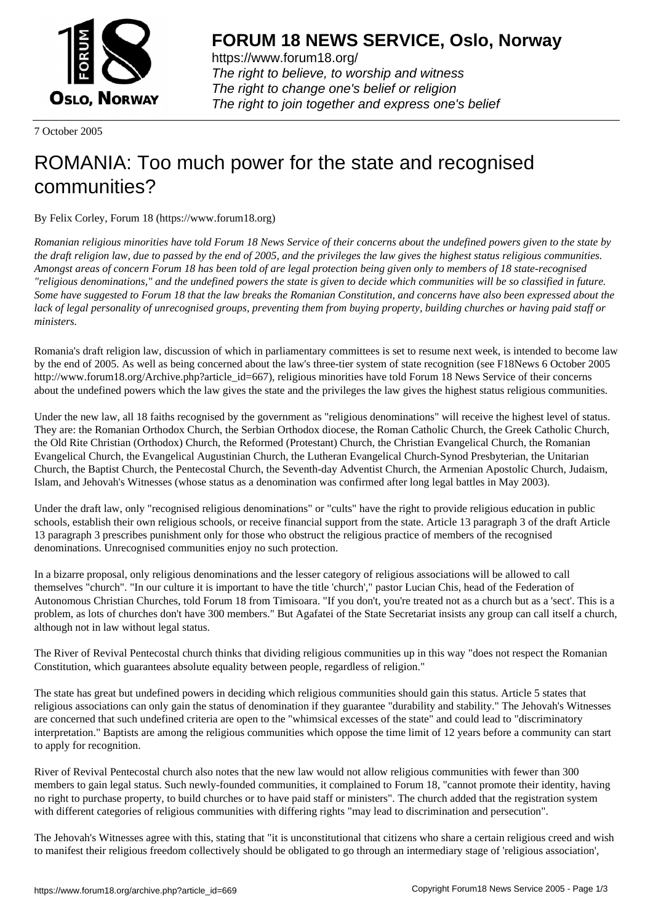

https://www.forum18.org/ The right to believe, to worship and witness The right to change one's belief or religion [The right to join together a](https://www.forum18.org/)nd express one's belief

7 October 2005

## [ROMANIA: Too](https://www.forum18.org) much power for the state and recognised communities?

By Felix Corley, Forum 18 (https://www.forum18.org)

*Romanian religious minorities have told Forum 18 News Service of their concerns about the undefined powers given to the state by the draft religion law, due to passed by the end of 2005, and the privileges the law gives the highest status religious communities. Amongst areas of concern Forum 18 has been told of are legal protection being given only to members of 18 state-recognised "religious denominations," and the undefined powers the state is given to decide which communities will be so classified in future. Some have suggested to Forum 18 that the law breaks the Romanian Constitution, and concerns have also been expressed about the lack of legal personality of unrecognised groups, preventing them from buying property, building churches or having paid staff or ministers.*

Romania's draft religion law, discussion of which in parliamentary committees is set to resume next week, is intended to become law by the end of 2005. As well as being concerned about the law's three-tier system of state recognition (see F18News 6 October 2005 http://www.forum18.org/Archive.php?article\_id=667), religious minorities have told Forum 18 News Service of their concerns about the undefined powers which the law gives the state and the privileges the law gives the highest status religious communities.

Under the new law, all 18 faiths recognised by the government as "religious denominations" will receive the highest level of status. They are: the Romanian Orthodox Church, the Serbian Orthodox diocese, the Roman Catholic Church, the Greek Catholic Church, the Old Rite Christian (Orthodox) Church, the Reformed (Protestant) Church, the Christian Evangelical Church, the Romanian Evangelical Church, the Evangelical Augustinian Church, the Lutheran Evangelical Church-Synod Presbyterian, the Unitarian Church, the Baptist Church, the Pentecostal Church, the Seventh-day Adventist Church, the Armenian Apostolic Church, Judaism, Islam, and Jehovah's Witnesses (whose status as a denomination was confirmed after long legal battles in May 2003).

Under the draft law, only "recognised religious denominations" or "cults" have the right to provide religious education in public schools, establish their own religious schools, or receive financial support from the state. Article 13 paragraph 3 of the draft Article 13 paragraph 3 prescribes punishment only for those who obstruct the religious practice of members of the recognised denominations. Unrecognised communities enjoy no such protection.

In a bizarre proposal, only religious denominations and the lesser category of religious associations will be allowed to call themselves "church". "In our culture it is important to have the title 'church'," pastor Lucian Chis, head of the Federation of Autonomous Christian Churches, told Forum 18 from Timisoara. "If you don't, you're treated not as a church but as a 'sect'. This is a problem, as lots of churches don't have 300 members." But Agafatei of the State Secretariat insists any group can call itself a church, although not in law without legal status.

The River of Revival Pentecostal church thinks that dividing religious communities up in this way "does not respect the Romanian Constitution, which guarantees absolute equality between people, regardless of religion."

The state has great but undefined powers in deciding which religious communities should gain this status. Article 5 states that religious associations can only gain the status of denomination if they guarantee "durability and stability." The Jehovah's Witnesses are concerned that such undefined criteria are open to the "whimsical excesses of the state" and could lead to "discriminatory interpretation." Baptists are among the religious communities which oppose the time limit of 12 years before a community can start to apply for recognition.

River of Revival Pentecostal church also notes that the new law would not allow religious communities with fewer than 300 members to gain legal status. Such newly-founded communities, it complained to Forum 18, "cannot promote their identity, having no right to purchase property, to build churches or to have paid staff or ministers". The church added that the registration system with different categories of religious communities with differing rights "may lead to discrimination and persecution".

The Jehovah's Witnesses agree with this, stating that "it is unconstitutional that citizens who share a certain religious creed and wish to manifest their religious freedom collectively should be obligated to go through an intermediary stage of 'religious association',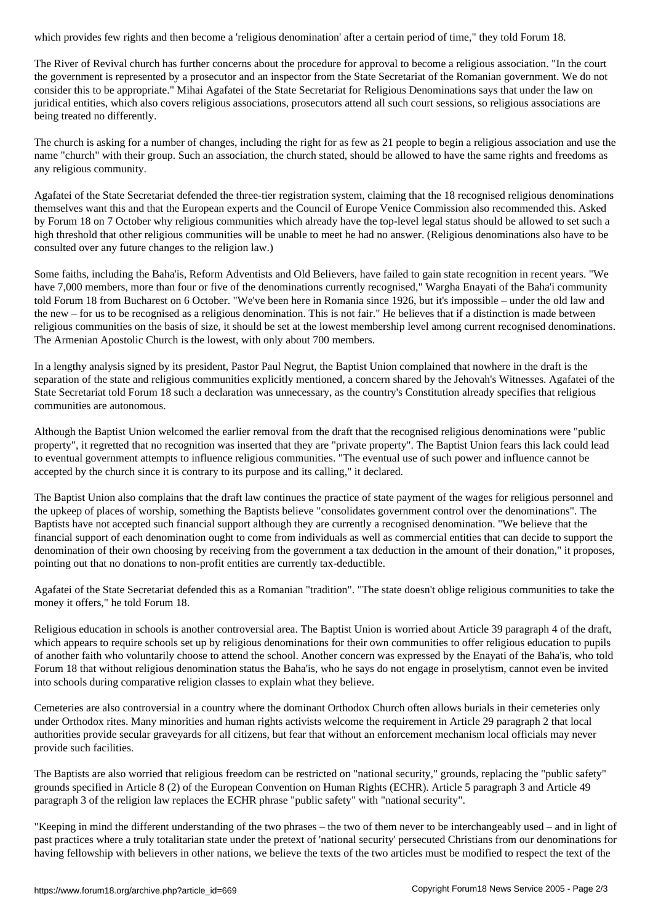The River of Revival church has further concerns about the procedure for approval to become a religious association. "In the court the government is represented by a prosecutor and an inspector from the State Secretariat of the Romanian government. We do not consider this to be appropriate." Mihai Agafatei of the State Secretariat for Religious Denominations says that under the law on juridical entities, which also covers religious associations, prosecutors attend all such court sessions, so religious associations are being treated no differently.

The church is asking for a number of changes, including the right for as few as 21 people to begin a religious association and use the name "church" with their group. Such an association, the church stated, should be allowed to have the same rights and freedoms as any religious community.

Agafatei of the State Secretariat defended the three-tier registration system, claiming that the 18 recognised religious denominations themselves want this and that the European experts and the Council of Europe Venice Commission also recommended this. Asked by Forum 18 on 7 October why religious communities which already have the top-level legal status should be allowed to set such a high threshold that other religious communities will be unable to meet he had no answer. (Religious denominations also have to be consulted over any future changes to the religion law.)

Some faiths, including the Baha'is, Reform Adventists and Old Believers, have failed to gain state recognition in recent years. "We have 7,000 members, more than four or five of the denominations currently recognised," Wargha Enayati of the Baha'i community told Forum 18 from Bucharest on 6 October. "We've been here in Romania since 1926, but it's impossible – under the old law and the new – for us to be recognised as a religious denomination. This is not fair." He believes that if a distinction is made between religious communities on the basis of size, it should be set at the lowest membership level among current recognised denominations. The Armenian Apostolic Church is the lowest, with only about 700 members.

In a lengthy analysis signed by its president, Pastor Paul Negrut, the Baptist Union complained that nowhere in the draft is the separation of the state and religious communities explicitly mentioned, a concern shared by the Jehovah's Witnesses. Agafatei of the State Secretariat told Forum 18 such a declaration was unnecessary, as the country's Constitution already specifies that religious communities are autonomous.

Although the Baptist Union welcomed the earlier removal from the draft that the recognised religious denominations were "public property", it regretted that no recognition was inserted that they are "private property". The Baptist Union fears this lack could lead to eventual government attempts to influence religious communities. "The eventual use of such power and influence cannot be accepted by the church since it is contrary to its purpose and its calling," it declared.

The Baptist Union also complains that the draft law continues the practice of state payment of the wages for religious personnel and the upkeep of places of worship, something the Baptists believe "consolidates government control over the denominations". The Baptists have not accepted such financial support although they are currently a recognised denomination. "We believe that the financial support of each denomination ought to come from individuals as well as commercial entities that can decide to support the denomination of their own choosing by receiving from the government a tax deduction in the amount of their donation," it proposes, pointing out that no donations to non-profit entities are currently tax-deductible.

Agafatei of the State Secretariat defended this as a Romanian "tradition". "The state doesn't oblige religious communities to take the money it offers," he told Forum 18.

Religious education in schools is another controversial area. The Baptist Union is worried about Article 39 paragraph 4 of the draft, which appears to require schools set up by religious denominations for their own communities to offer religious education to pupils of another faith who voluntarily choose to attend the school. Another concern was expressed by the Enayati of the Baha'is, who told Forum 18 that without religious denomination status the Baha'is, who he says do not engage in proselytism, cannot even be invited into schools during comparative religion classes to explain what they believe.

Cemeteries are also controversial in a country where the dominant Orthodox Church often allows burials in their cemeteries only under Orthodox rites. Many minorities and human rights activists welcome the requirement in Article 29 paragraph 2 that local authorities provide secular graveyards for all citizens, but fear that without an enforcement mechanism local officials may never provide such facilities.

The Baptists are also worried that religious freedom can be restricted on "national security," grounds, replacing the "public safety" grounds specified in Article 8 (2) of the European Convention on Human Rights (ECHR). Article 5 paragraph 3 and Article 49 paragraph 3 of the religion law replaces the ECHR phrase "public safety" with "national security".

"Keeping in mind the different understanding of the two phrases – the two of them never to be interchangeably used – and in light of past practices where a truly totalitarian state under the pretext of 'national security' persecuted Christians from our denominations for having fellowship with believers in other nations, we believe the texts of the two articles must be modified to respect the text of the